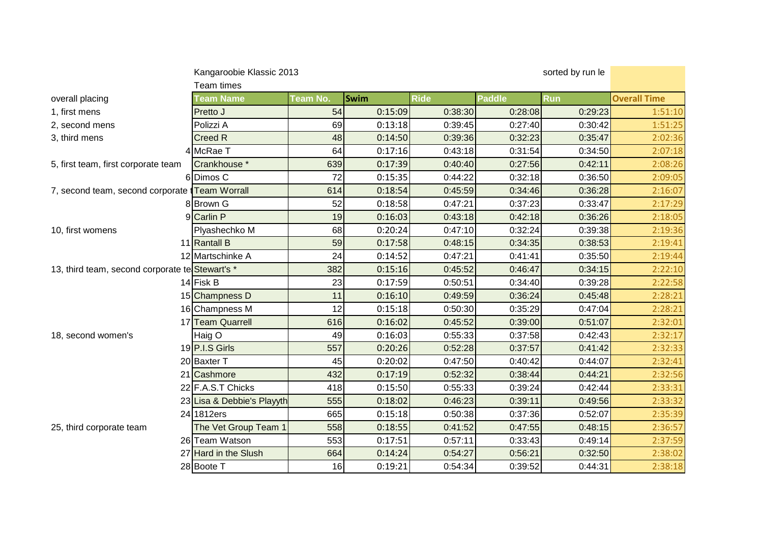|                                                      | Kangaroobie Klassic 2013   |          |             |             | sorted by run le |            |                     |  |
|------------------------------------------------------|----------------------------|----------|-------------|-------------|------------------|------------|---------------------|--|
|                                                      | Team times                 |          |             |             |                  |            |                     |  |
| overall placing                                      | <b>Team Name</b>           | Team No. | <b>Swim</b> | <b>Ride</b> | <b>Paddle</b>    | <b>Run</b> | <b>Overall Time</b> |  |
| 1, first mens                                        | Pretto J                   | 54       | 0:15:09     | 0:38:30     | 0:28:08          | 0:29:23    | 1:51:10             |  |
| 2, second mens                                       | Polizzi A                  | 69       | 0:13:18     | 0:39:45     | 0:27:40          | 0:30:42    | 1:51:25             |  |
| 3, third mens                                        | <b>Creed R</b>             | 48       | 0:14:50     | 0:39:36     | 0:32:23          | 0:35:47    | 2:02:36             |  |
|                                                      | 4 McRae T                  | 64       | 0:17:16     | 0:43:18     | 0:31:54          | 0:34:50    | 2:07:18             |  |
| 5, first team, first corporate team                  | Crankhouse *               | 639      | 0:17:39     | 0:40:40     | 0:27:56          | 0:42:11    | 2:08:26             |  |
|                                                      | 6Dimos C                   | 72       | 0:15:35     | 0:44:22     | 0:32:18          | 0:36:50    | 2:09:05             |  |
| 7, second team, second corporate <i>Team Worrall</i> |                            | 614      | 0:18:54     | 0:45:59     | 0:34:46          | 0:36:28    | 2:16:07             |  |
|                                                      | 8 Brown G                  | 52       | 0:18:58     | 0:47:21     | 0:37:23          | 0:33:47    | 2:17:29             |  |
|                                                      | 9 Carlin P                 | 19       | 0:16:03     | 0:43:18     | 0:42:18          | 0:36:26    | 2:18:05             |  |
| 10, first womens                                     | Plyashechko M              | 68       | 0:20:24     | 0:47:10     | 0:32:24          | 0:39:38    | 2:19:36             |  |
|                                                      | 11 Rantall B               | 59       | 0:17:58     | 0:48:15     | 0:34:35          | 0:38:53    | 2:19:41             |  |
|                                                      | 12 Martschinke A           | 24       | 0:14:52     | 0:47:21     | 0:41:41          | 0:35:50    | 2:19:44             |  |
| 13, third team, second corporate te Stewart's *      |                            | 382      | 0:15:16     | 0:45:52     | 0:46:47          | 0:34:15    | 2:22:10             |  |
|                                                      | 14 Fisk B                  | 23       | 0:17:59     | 0:50:51     | 0:34:40          | 0:39:28    | 2:22:58             |  |
|                                                      | 15 Champness D             | 11       | 0:16:10     | 0:49:59     | 0:36:24          | 0:45:48    | 2:28:21             |  |
|                                                      | 16 Champness M             | 12       | 0:15:18     | 0:50:30     | 0:35:29          | 0:47:04    | 2:28:21             |  |
|                                                      | 17 Team Quarrell           | 616      | 0:16:02     | 0:45:52     | 0:39:00          | 0:51:07    | 2:32:01             |  |
| 18, second women's                                   | Haig O                     | 49       | 0:16:03     | 0:55:33     | 0:37:58          | 0:42:43    | 2:32:17             |  |
|                                                      | 19 P.I.S Girls             | 557      | 0:20:26     | 0:52:28     | 0:37:57          | 0:41:42    | 2:32:33             |  |
|                                                      | 20 Baxter T                | 45       | 0:20:02     | 0:47:50     | 0:40:42          | 0:44:07    | 2:32:41             |  |
|                                                      | 21 Cashmore                | 432      | 0:17:19     | 0:52:32     | 0:38:44          | 0:44:21    | 2:32:56             |  |
|                                                      | 22 F.A.S.T Chicks          | 418      | 0:15:50     | 0:55:33     | 0:39:24          | 0:42:44    | 2:33:31             |  |
|                                                      | 23 Lisa & Debbie's Playyth | 555      | 0:18:02     | 0:46:23     | 0:39:11          | 0:49:56    | 2:33:32             |  |
|                                                      | 24 1812ers                 | 665      | 0:15:18     | 0:50:38     | 0:37:36          | 0:52:07    | 2:35:39             |  |
| 25, third corporate team                             | The Vet Group Team 1       | 558      | 0:18:55     | 0:41:52     | 0:47:55          | 0:48:15    | 2:36:57             |  |
|                                                      | 26 Team Watson             | 553      | 0:17:51     | 0:57:11     | 0:33:43          | 0:49:14    | 2:37:59             |  |
|                                                      | 27 Hard in the Slush       | 664      | 0:14:24     | 0:54:27     | 0:56:21          | 0:32:50    | 2:38:02             |  |
|                                                      | 28 Boote T                 | 16       | 0:19:21     | 0:54:34     | 0:39:52          | 0:44:31    | 2:38:18             |  |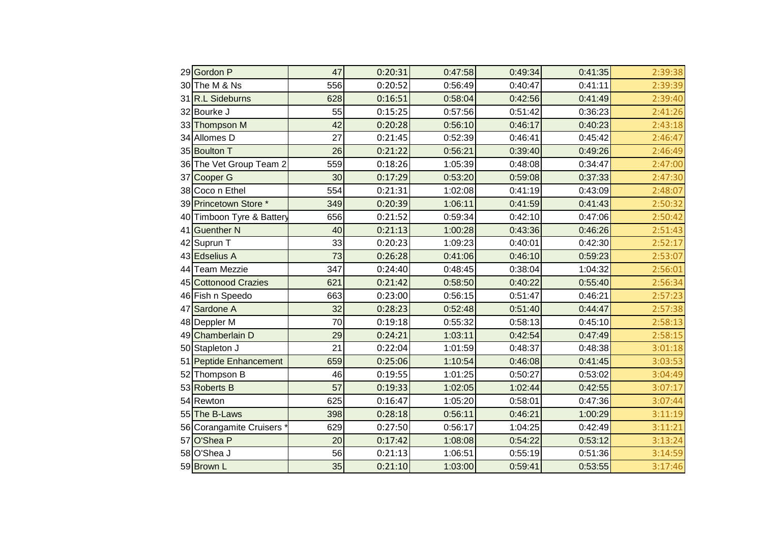| 29 Gordon P               | 47  | 0:20:31 | 0:47:58 | 0:49:34 | 0:41:35 | 2:39:38 |
|---------------------------|-----|---------|---------|---------|---------|---------|
| 30The M & Ns              | 556 | 0:20:52 | 0:56:49 | 0:40:47 | 0:41:11 | 2:39:39 |
| 31 R.L Sideburns          | 628 | 0:16:51 | 0:58:04 | 0:42:56 | 0:41:49 | 2:39:40 |
| 32 Bourke J               | 55  | 0:15:25 | 0:57:56 | 0:51:42 | 0:36:23 | 2:41:26 |
| 33 Thompson M             | 42  | 0:20:28 | 0:56:10 | 0:46:17 | 0:40:23 | 2:43:18 |
| 34 Allomes D              | 27  | 0:21:45 | 0:52:39 | 0:46:41 | 0:45:42 | 2:46:47 |
| 35 Boulton T              | 26  | 0:21:22 | 0:56:21 | 0:39:40 | 0:49:26 | 2:46:49 |
| 36 The Vet Group Team 2   | 559 | 0:18:26 | 1:05:39 | 0:48:08 | 0:34:47 | 2:47:00 |
| 37 Cooper G               | 30  | 0:17:29 | 0:53:20 | 0:59:08 | 0:37:33 | 2:47:30 |
| 38 Coco n Ethel           | 554 | 0:21:31 | 1:02:08 | 0:41:19 | 0:43:09 | 2:48:07 |
| 39 Princetown Store *     | 349 | 0:20:39 | 1:06:11 | 0:41:59 | 0:41:43 | 2:50:32 |
| 40 Timboon Tyre & Battery | 656 | 0:21:52 | 0:59:34 | 0:42:10 | 0:47:06 | 2:50:42 |
| 41 Guenther N             | 40  | 0:21:13 | 1:00:28 | 0:43:36 | 0:46:26 | 2:51:43 |
| 42 Suprun T               | 33  | 0:20:23 | 1:09:23 | 0:40:01 | 0:42:30 | 2:52:17 |
| 43 Edselius A             | 73  | 0:26:28 | 0:41:06 | 0:46:10 | 0:59:23 | 2:53:07 |
| 44 Team Mezzie            | 347 | 0:24:40 | 0:48:45 | 0:38:04 | 1:04:32 | 2:56:01 |
| 45 Cottonood Crazies      | 621 | 0:21:42 | 0:58:50 | 0:40:22 | 0:55:40 | 2:56:34 |
| 46 Fish n Speedo          | 663 | 0:23:00 | 0:56:15 | 0:51:47 | 0:46:21 | 2:57:23 |
| 47 Sardone A              | 32  | 0:28:23 | 0:52:48 | 0:51:40 | 0:44:47 | 2:57:38 |
| 48 Deppler M              | 70  | 0:19:18 | 0:55:32 | 0:58:13 | 0:45:10 | 2:58:13 |
| 49 Chamberlain D          | 29  | 0:24:21 | 1:03:11 | 0:42:54 | 0:47:49 | 2:58:15 |
| 50 Stapleton J            | 21  | 0:22:04 | 1:01:59 | 0:48:37 | 0:48:38 | 3:01:18 |
| 51 Peptide Enhancement    | 659 | 0:25:06 | 1:10:54 | 0:46:08 | 0:41:45 | 3:03:53 |
| 52 Thompson B             | 46  | 0:19:55 | 1:01:25 | 0:50:27 | 0:53:02 | 3:04:49 |
| 53 Roberts B              | 57  | 0:19:33 | 1:02:05 | 1:02:44 | 0:42:55 | 3:07:17 |
| 54 Rewton                 | 625 | 0:16:47 | 1:05:20 | 0:58:01 | 0:47:36 | 3:07:44 |
| 55 The B-Laws             | 398 | 0:28:18 | 0:56:11 | 0:46:21 | 1:00:29 | 3:11:19 |
| 56 Corangamite Cruisers   | 629 | 0:27:50 | 0:56:17 | 1:04:25 | 0:42:49 | 3:11:21 |
| 57 O'Shea P               | 20  | 0:17:42 | 1:08:08 | 0:54:22 | 0:53:12 | 3:13:24 |
| 58 O'Shea J               | 56  | 0:21:13 | 1:06:51 | 0:55:19 | 0:51:36 | 3:14:59 |
| 59Brown L                 | 35  | 0:21:10 | 1:03:00 | 0:59:41 | 0:53:55 | 3:17:46 |